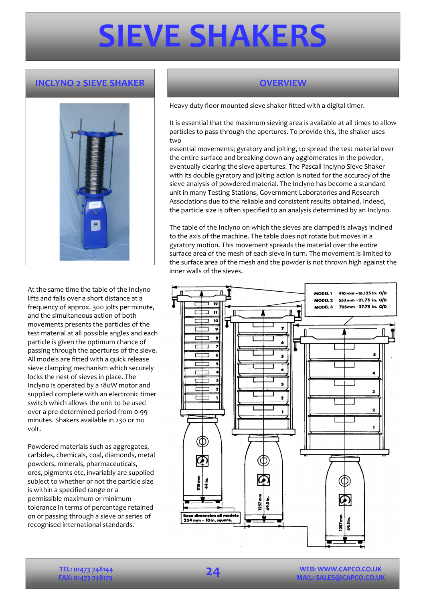## **SIEVE SHAKERS**

### **INCLYNO 2 SIEVE SHAKER DE LETTER OVERVIEW CONTRACTED**



At the same time the table of the Inclyno lifts and falls over a short distance at a frequency of approx. 300 jolts per minute, and the simultaneous action of both movements presents the particles of the test material at all possible angles and each particle is given the optimum chance of passing through the apertures of the sieve. All models are fitted with a quick release sieve clamping mechanism which securely locks the nest of sieves in place. The Inclyno is operated by a 180W motor and supplied complete with an electronic timer switch which allows the unit to be used over a pre-determined period from 0-99 minutes. Shakers available in 230 or 110 volt.

Powdered materials such as aggregates, carbides, chemicals, coal, diamonds, metal powders, minerals, pharmaceuticals, ores, pigments etc, invariably are supplied subject to whether or not the particle size is within a specified range or a permissible maximum or minimum tolerance in terms of percentage retained on or passing through a sieve or series of recognised international standards.

Heavy duty floor mounted sieve shaker fitted with a digital timer.

It is essential that the maximum sieving area is available at all times to allow particles to pass through the apertures. To provide this, the shaker uses two

essential movements; gyratory and jolting, to spread the test material over the entire surface and breaking down any agglomerates in the powder, eventually clearing the sieve apertures. The Pascall Inclyno Sieve Shaker with its double gyratory and jolting action is noted for the accuracy of the sieve analysis of powdered material. The Inclyno has become a standard unit in many Testing Stations, Government Laboratories and Research Associations due to the reliable and consistent results obtained. Indeed, the particle size is often specified to an analysis determined by an Inclyno.

The table of the Inclyno on which the sieves are clamped is always inclined to the axis of the machine. The table does not rotate but moves in a gyratory motion. This movement spreads the material over the entire surface area of the mesh of each sieve in turn. The movement is limited to the surface area of the mesh and the powder is not thrown high against the inner walls of the sieves.



**WEB: WWW.CAPCO.CO.UK**  L: SALES@CAPCO.CO.